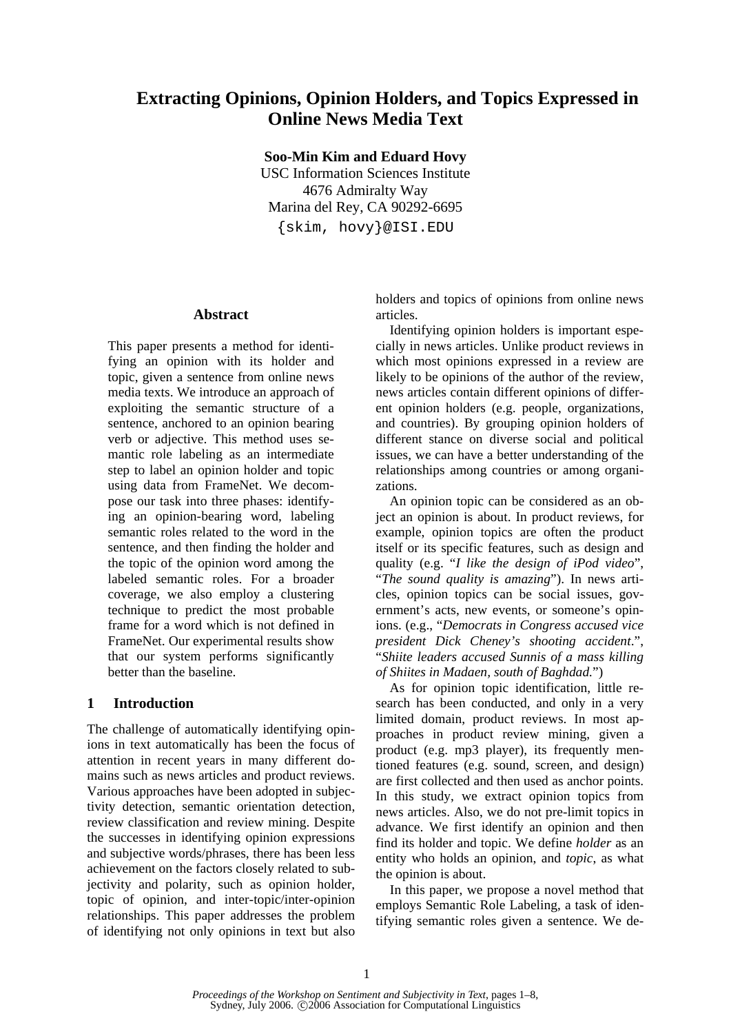# **Extracting Opinions, Opinion Holders, and Topics Expressed in Online News Media Text**

**Soo-Min Kim and Eduard Hovy** 

USC Information Sciences Institute 4676 Admiralty Way Marina del Rey, CA 90292-6695 {skim, hovy}@ISI.EDU

### **Abstract**

This paper presents a method for identifying an opinion with its holder and topic, given a sentence from online news media texts. We introduce an approach of exploiting the semantic structure of a sentence, anchored to an opinion bearing verb or adjective. This method uses semantic role labeling as an intermediate step to label an opinion holder and topic using data from FrameNet. We decompose our task into three phases: identifying an opinion-bearing word, labeling semantic roles related to the word in the sentence, and then finding the holder and the topic of the opinion word among the labeled semantic roles. For a broader coverage, we also employ a clustering technique to predict the most probable frame for a word which is not defined in FrameNet. Our experimental results show that our system performs significantly better than the baseline.

## **1 Introduction**

The challenge of automatically identifying opinions in text automatically has been the focus of attention in recent years in many different domains such as news articles and product reviews. Various approaches have been adopted in subjectivity detection, semantic orientation detection, review classification and review mining. Despite the successes in identifying opinion expressions and subjective words/phrases, there has been less achievement on the factors closely related to subjectivity and polarity, such as opinion holder, topic of opinion, and inter-topic/inter-opinion relationships. This paper addresses the problem of identifying not only opinions in text but also

holders and topics of opinions from online news articles.

Identifying opinion holders is important especially in news articles. Unlike product reviews in which most opinions expressed in a review are likely to be opinions of the author of the review, news articles contain different opinions of different opinion holders (e.g. people, organizations, and countries). By grouping opinion holders of different stance on diverse social and political issues, we can have a better understanding of the relationships among countries or among organizations.

An opinion topic can be considered as an object an opinion is about. In product reviews, for example, opinion topics are often the product itself or its specific features, such as design and quality (e.g. "*I like the design of iPod video*", "*The sound quality is amazing*"). In news articles, opinion topics can be social issues, government's acts, new events, or someone's opinions. (e.g., "*Democrats in Congress accused vice president Dick Cheney's shooting accident*.", "*Shiite leaders accused Sunnis of a mass killing of Shiites in Madaen, south of Baghdad.*")

As for opinion topic identification, little research has been conducted, and only in a very limited domain, product reviews. In most approaches in product review mining, given a product (e.g. mp3 player), its frequently mentioned features (e.g. sound, screen, and design) are first collected and then used as anchor points. In this study, we extract opinion topics from news articles. Also, we do not pre-limit topics in advance. We first identify an opinion and then find its holder and topic. We define *holder* as an entity who holds an opinion, and *topic*, as what the opinion is about.

In this paper, we propose a novel method that employs Semantic Role Labeling, a task of identifying semantic roles given a sentence. We de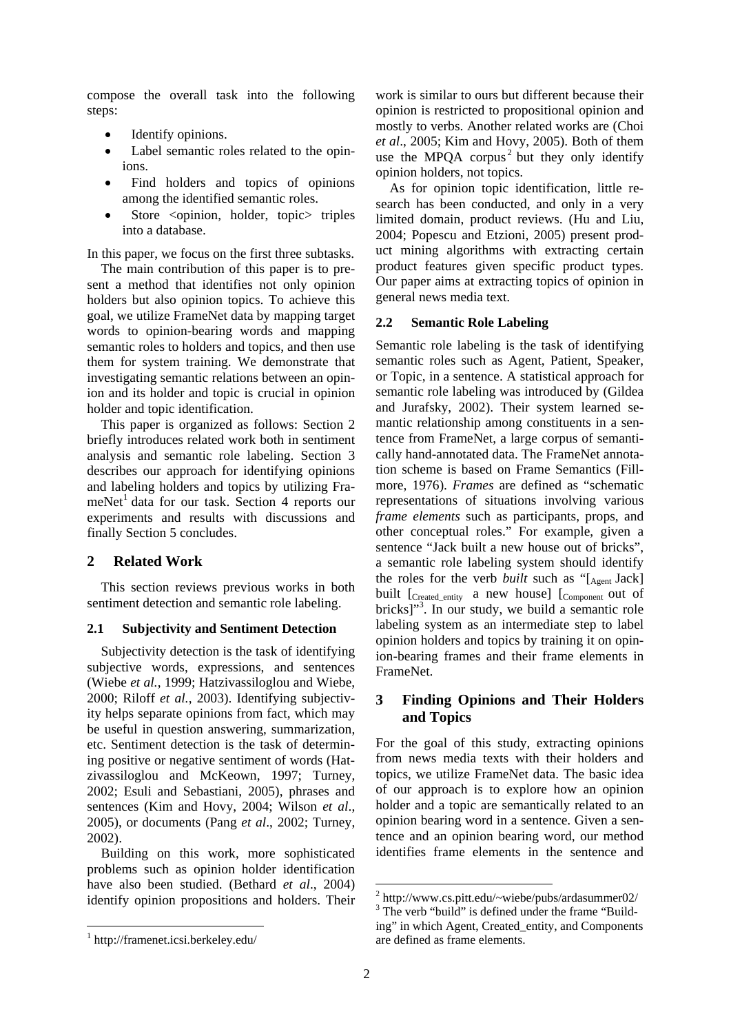compose the overall task into the following steps:

- Identify opinions.
- Label semantic roles related to the opinions.
- Find holders and topics of opinions among the identified semantic roles.
- Store <opinion, holder, topic> triples into a database.

In this paper, we focus on the first three subtasks.

The main contribution of this paper is to present a method that identifies not only opinion holders but also opinion topics. To achieve this goal, we utilize FrameNet data by mapping target words to opinion-bearing words and mapping semantic roles to holders and topics, and then use them for system training. We demonstrate that investigating semantic relations between an opinion and its holder and topic is crucial in opinion holder and topic identification.

This paper is organized as follows: Section 2 briefly introduces related work both in sentiment analysis and semantic role labeling. Section 3 describes our approach for identifying opinions and labeling holders and topics by utilizing FrameNet<sup>1</sup> data for our task. Section 4 reports our experiments and results with discussions and finally Section 5 concludes.

# **2 Related Work**

This section reviews previous works in both sentiment detection and semantic role labeling.

## **2.1 Subjectivity and Sentiment Detection**

Subjectivity detection is the task of identifying subjective words, expressions, and sentences (Wiebe *et al.*, 1999; Hatzivassiloglou and Wiebe, 2000; Riloff *et al.*, 2003). Identifying subjectivity helps separate opinions from fact, which may be useful in question answering, summarization, etc. Sentiment detection is the task of determining positive or negative sentiment of words (Hatzivassiloglou and McKeown, 1997; Turney, 2002; Esuli and Sebastiani, 2005), phrases and sentences (Kim and Hovy, 2004; Wilson *et al*., 2005), or documents (Pang *et al*., 2002; Turney, 2002).

Building on this work, more sophisticated problems such as opinion holder identification have also been studied. (Bethard *et al*., 2004) identify opinion propositions and holders. Their

work is similar to ours but different because their opinion is restricted to propositional opinion and mostly to verbs. Another related works are (Choi *et al*., 2005; Kim and Hovy, 2005). Both of them use the MPQA corpus<sup>2</sup> but they only identify opinion holders, not topics.

As for opinion topic identification, little research has been conducted, and only in a very limited domain, product reviews. (Hu and Liu, 2004; Popescu and Etzioni, 2005) present product mining algorithms with extracting certain product features given specific product types. Our paper aims at extracting topics of opinion in general news media text.

# **2.2 Semantic Role Labeling**

Semantic role labeling is the task of identifying semantic roles such as Agent, Patient, Speaker, or Topic, in a sentence. A statistical approach for semantic role labeling was introduced by (Gildea and Jurafsky, 2002). Their system learned semantic relationship among constituents in a sentence from FrameNet, a large corpus of semantically hand-annotated data. The FrameNet annotation scheme is based on Frame Semantics (Fillmore, 1976). *Frames* are defined as "schematic representations of situations involving various *frame elements* such as participants, props, and other conceptual roles." For example, given a sentence "Jack built a new house out of bricks", a semantic role labeling system should identify the roles for the verb *built* such as "[Agent Jack] built [Created\_entity a new house] [Component out of bricks]"<sup>3</sup>. In our study, we build a semantic role labeling system as an intermediate step to label opinion holders and topics by training it on opinion-bearing frames and their frame elements in FrameNet.

# **3 Finding Opinions and Their Holders and Topics**

For the goal of this study, extracting opinions from news media texts with their holders and topics, we utilize FrameNet data. The basic idea of our approach is to explore how an opinion holder and a topic are semantically related to an opinion bearing word in a sentence. Given a sentence and an opinion bearing word, our method identifies frame elements in the sentence and

are defined as frame elements.

<sup>1</sup> http://framenet.icsi.berkeley.edu/

<sup>&</sup>lt;sup>2</sup> http://www.cs.pitt.edu/~wiebe/pubs/ardasummer02/<br> $3$  The york "build" is defined under the frome "Duild"

 $3$  The verb "build" is defined under the frame "Building" in which Agent, Created\_entity, and Components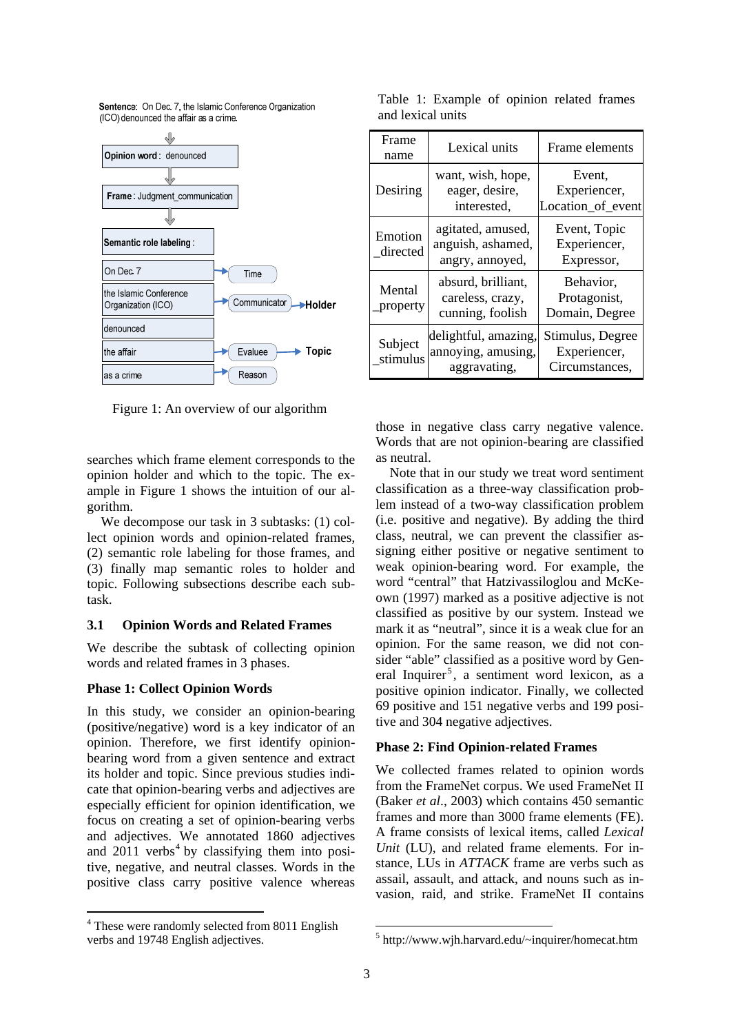Sentence: On Dec. 7, the Islamic Conference Organization (ICO) denounced the affair as a crime.



Figure 1: An overview of our algorithm

searches which frame element corresponds to the opinion holder and which to the topic. The example in Figure 1 shows the intuition of our algorithm.

We decompose our task in 3 subtasks: (1) collect opinion words and opinion-related frames, (2) semantic role labeling for those frames, and (3) finally map semantic roles to holder and topic. Following subsections describe each subtask.

### **3.1 Opinion Words and Related Frames**

We describe the subtask of collecting opinion words and related frames in 3 phases.

#### **Phase 1: Collect Opinion Words**

In this study, we consider an opinion-bearing (positive/negative) word is a key indicator of an opinion. Therefore, we first identify opinionbearing word from a given sentence and extract its holder and topic. Since previous studies indicate that opinion-bearing verbs and adjectives are especially efficient for opinion identification, we focus on creating a set of opinion-bearing verbs and adjectives. We annotated 1860 adjectives and  $2011$  verbs<sup>4</sup> by classifying them into positive, negative, and neutral classes. Words in the positive class carry positive valence whereas

| Frame<br>name       | Lexical units                                              | Frame elements                                     |  |  |
|---------------------|------------------------------------------------------------|----------------------------------------------------|--|--|
| Desiring            | want, wish, hope,<br>eager, desire,<br>interested,         | Event.<br>Experiencer,<br>Location_of_event        |  |  |
| Emotion<br>directed | agitated, amused,<br>anguish, ashamed,<br>angry, annoyed,  | Event, Topic<br>Experiencer,<br>Expressor,         |  |  |
| Mental<br>property  | absurd, brilliant,<br>careless, crazy,<br>cunning, foolish | Behavior,<br>Protagonist,<br>Domain, Degree        |  |  |
| Subject<br>stimulus | delightful, amazing,<br>annoying, amusing,<br>aggravating, | Stimulus, Degree<br>Experiencer,<br>Circumstances, |  |  |

Table 1: Example of opinion related frames and lexical units

those in negative class carry negative valence. Words that are not opinion-bearing are classified as neutral.

Note that in our study we treat word sentiment classification as a three-way classification problem instead of a two-way classification problem (i.e. positive and negative). By adding the third class, neutral, we can prevent the classifier assigning either positive or negative sentiment to weak opinion-bearing word. For example, the word "central" that Hatzivassiloglou and McKeown (1997) marked as a positive adjective is not classified as positive by our system. Instead we mark it as "neutral", since it is a weak clue for an opinion. For the same reason, we did not consider "able" classified as a positive word by General Inquirer<sup>5</sup>, a sentiment word lexicon, as a positive opinion indicator. Finally, we collected 69 positive and 151 negative verbs and 199 positive and 304 negative adjectives.

#### **Phase 2: Find Opinion-related Frames**

We collected frames related to opinion words from the FrameNet corpus. We used FrameNet II (Baker *et al*., 2003) which contains 450 semantic frames and more than 3000 frame elements (FE). A frame consists of lexical items, called *Lexical Unit* (LU), and related frame elements. For instance, LUs in *ATTACK* frame are verbs such as assail, assault, and attack, and nouns such as invasion, raid, and strike. FrameNet II contains

<sup>&</sup>lt;sup>4</sup> These were randomly selected from 8011 English verbs and 19748 English adjectives.

<sup>5</sup> http://www.wjh.harvard.edu/~inquirer/homecat.htm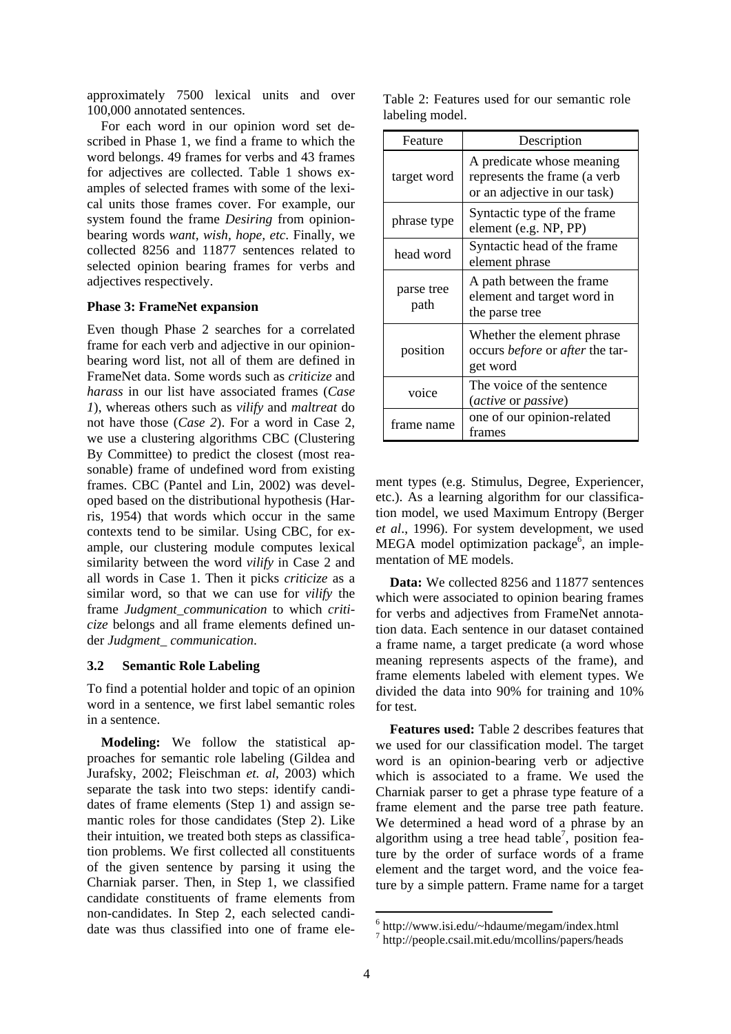approximately 7500 lexical units and over 100,000 annotated sentences.

For each word in our opinion word set described in Phase 1, we find a frame to which the word belongs. 49 frames for verbs and 43 frames for adjectives are collected. Table 1 shows examples of selected frames with some of the lexical units those frames cover. For example, our system found the frame *Desiring* from opinionbearing words *want, wish, hope, etc*. Finally, we collected 8256 and 11877 sentences related to selected opinion bearing frames for verbs and adjectives respectively.

#### **Phase 3: FrameNet expansion**

Even though Phase 2 searches for a correlated frame for each verb and adjective in our opinionbearing word list, not all of them are defined in FrameNet data. Some words such as *criticize* and *harass* in our list have associated frames (*Case 1*), whereas others such as *vilify* and *maltreat* do not have those (*Case 2*). For a word in Case 2, we use a clustering algorithms CBC (Clustering By Committee) to predict the closest (most reasonable) frame of undefined word from existing frames. CBC (Pantel and Lin, 2002) was developed based on the distributional hypothesis (Harris, 1954) that words which occur in the same contexts tend to be similar*.* Using CBC, for example, our clustering module computes lexical similarity between the word *vilify* in Case 2 and all words in Case 1. Then it picks *criticize* as a similar word, so that we can use for *vilify* the frame *Judgment\_communication* to which *criticize* belongs and all frame elements defined under *Judgment\_ communication*.

#### **3.2 Semantic Role Labeling**

To find a potential holder and topic of an opinion word in a sentence, we first label semantic roles in a sentence.

**Modeling:** We follow the statistical approaches for semantic role labeling (Gildea and Jurafsky, 2002; Fleischman *et. al*, 2003) which separate the task into two steps: identify candidates of frame elements (Step 1) and assign semantic roles for those candidates (Step 2). Like their intuition, we treated both steps as classification problems. We first collected all constituents of the given sentence by parsing it using the Charniak parser. Then, in Step 1, we classified candidate constituents of frame elements from non-candidates. In Step 2, each selected candidate was thus classified into one of frame ele-

|  |                 |  | Table 2: Features used for our semantic role |  |
|--|-----------------|--|----------------------------------------------|--|
|  | labeling model. |  |                                              |  |

| Feature            | Description                                                                               |  |  |
|--------------------|-------------------------------------------------------------------------------------------|--|--|
| target word        | A predicate whose meaning<br>represents the frame (a verb<br>or an adjective in our task) |  |  |
| phrase type        | Syntactic type of the frame<br>element (e.g. NP, PP)                                      |  |  |
| head word          | Syntactic head of the frame<br>element phrase                                             |  |  |
| parse tree<br>path | A path between the frame<br>element and target word in<br>the parse tree                  |  |  |
| position           | Whether the element phrase<br>occurs <i>before</i> or <i>after</i> the tar-<br>get word   |  |  |
| voice              | The voice of the sentence<br>(active or passive)                                          |  |  |
| frame name         | one of our opinion-related<br>frames                                                      |  |  |

ment types (e.g. Stimulus, Degree, Experiencer, etc.). As a learning algorithm for our classification model, we used Maximum Entropy (Berger *et al*., 1996). For system development, we used MEGA model optimization package<sup>6</sup>, an implementation of ME models.

**Data:** We collected 8256 and 11877 sentences which were associated to opinion bearing frames for verbs and adjectives from FrameNet annotation data. Each sentence in our dataset contained a frame name, a target predicate (a word whose meaning represents aspects of the frame), and frame elements labeled with element types. We divided the data into 90% for training and 10% for test.

**Features used:** Table 2 describes features that we used for our classification model. The target word is an opinion-bearing verb or adjective which is associated to a frame. We used the Charniak parser to get a phrase type feature of a frame element and the parse tree path feature. We determined a head word of a phrase by an algorithm using a tree head table<sup>7</sup>, position feature by the order of surface words of a frame element and the target word, and the voice feature by a simple pattern. Frame name for a target

<sup>6</sup> http://www.isi.edu/~hdaume/megam/index.html

<sup>7</sup> http://people.csail.mit.edu/mcollins/papers/heads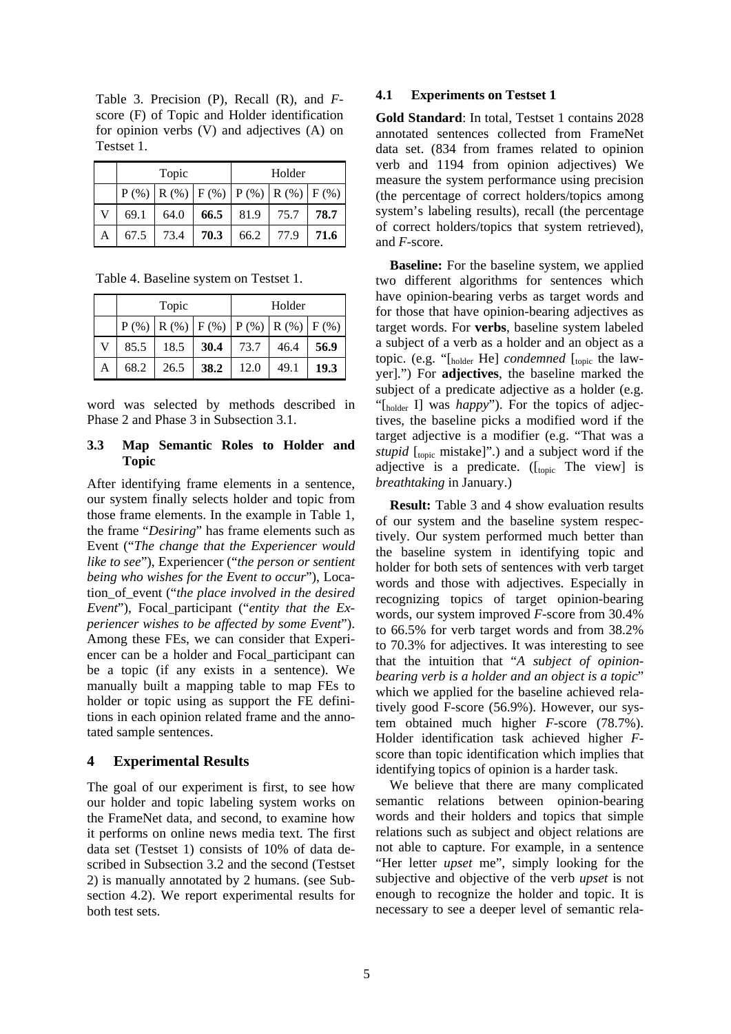Table 3. Precision (P), Recall (R), and *F*score (F) of Topic and Holder identification for opinion verbs (V) and adjectives (A) on Testset 1.

|   | Topic                                           |      |      | Holder |      |      |  |
|---|-------------------------------------------------|------|------|--------|------|------|--|
|   | $P$ (%) $R$ (%) $F$ (%) $P$ (%) $R$ (%) $F$ (%) |      |      |        |      |      |  |
|   | 69.1                                            | 64.0 | 66.5 | 81.9   | 75.7 | 78.7 |  |
| A | 67.5                                            | 73.4 | 70.3 | 66.2   | 77.9 | 71.6 |  |

Table 4. Baseline system on Testset 1.

|   | Topic                                           |      |      | Holder |      |      |  |
|---|-------------------------------------------------|------|------|--------|------|------|--|
|   | $P$ (%) $R$ (%) $F$ (%) $P$ (%) $R$ (%) $F$ (%) |      |      |        |      |      |  |
| V | 85.5                                            | 18.5 | 30.4 | 73.7   | 46.4 | 56.9 |  |
| A | 68.2                                            | 26.5 | 38.2 | 12.0   | 49.1 | 19.3 |  |

word was selected by methods described in Phase 2 and Phase 3 in Subsection 3.1.

#### **3.3 Map Semantic Roles to Holder and Topic**

After identifying frame elements in a sentence, our system finally selects holder and topic from those frame elements. In the example in Table 1, the frame "*Desiring*" has frame elements such as Event ("*The change that the Experiencer would like to see*"), Experiencer ("*the person or sentient being who wishes for the Event to occur*"), Location\_of\_event ("*the place involved in the desired Event*"), Focal\_participant ("*entity that the Experiencer wishes to be affected by some Event*"). Among these FEs, we can consider that Experiencer can be a holder and Focal\_participant can be a topic (if any exists in a sentence). We manually built a mapping table to map FEs to holder or topic using as support the FE definitions in each opinion related frame and the annotated sample sentences.

#### **4 Experimental Results**

The goal of our experiment is first, to see how our holder and topic labeling system works on the FrameNet data, and second, to examine how it performs on online news media text. The first data set (Testset 1) consists of 10% of data described in Subsection 3.2 and the second (Testset 2) is manually annotated by 2 humans. (see Subsection 4.2). We report experimental results for both test sets.

#### **4.1 Experiments on Testset 1**

**Gold Standard**: In total, Testset 1 contains 2028 annotated sentences collected from FrameNet data set. (834 from frames related to opinion verb and 1194 from opinion adjectives) We measure the system performance using precision (the percentage of correct holders/topics among system's labeling results), recall (the percentage of correct holders/topics that system retrieved), and *F*-score.

**Baseline:** For the baseline system, we applied two different algorithms for sentences which have opinion-bearing verbs as target words and for those that have opinion-bearing adjectives as target words. For **verbs**, baseline system labeled a subject of a verb as a holder and an object as a topic. (e.g. "[holder He] *condemned* [topic the lawyer].") For **adjectives**, the baseline marked the subject of a predicate adjective as a holder (e.g. "[holder I] was *happy*"). For the topics of adjectives, the baseline picks a modified word if the target adjective is a modifier (e.g. "That was a *stupid* [topic mistake]".) and a subject word if the adjective is a predicate. ( $\begin{bmatrix} \text{fonic} \end{bmatrix}$  The view) is *breathtaking* in January.)

**Result:** Table 3 and 4 show evaluation results of our system and the baseline system respectively. Our system performed much better than the baseline system in identifying topic and holder for both sets of sentences with verb target words and those with adjectives. Especially in recognizing topics of target opinion-bearing words, our system improved *F*-score from 30.4% to 66.5% for verb target words and from 38.2% to 70.3% for adjectives. It was interesting to see that the intuition that "*A subject of opinionbearing verb is a holder and an object is a topic*" which we applied for the baseline achieved relatively good F-score (56.9%). However, our system obtained much higher *F*-score (78.7%). Holder identification task achieved higher *F*score than topic identification which implies that identifying topics of opinion is a harder task.

We believe that there are many complicated semantic relations between opinion-bearing words and their holders and topics that simple relations such as subject and object relations are not able to capture. For example, in a sentence "Her letter *upset* me", simply looking for the subjective and objective of the verb *upset* is not enough to recognize the holder and topic. It is necessary to see a deeper level of semantic rela-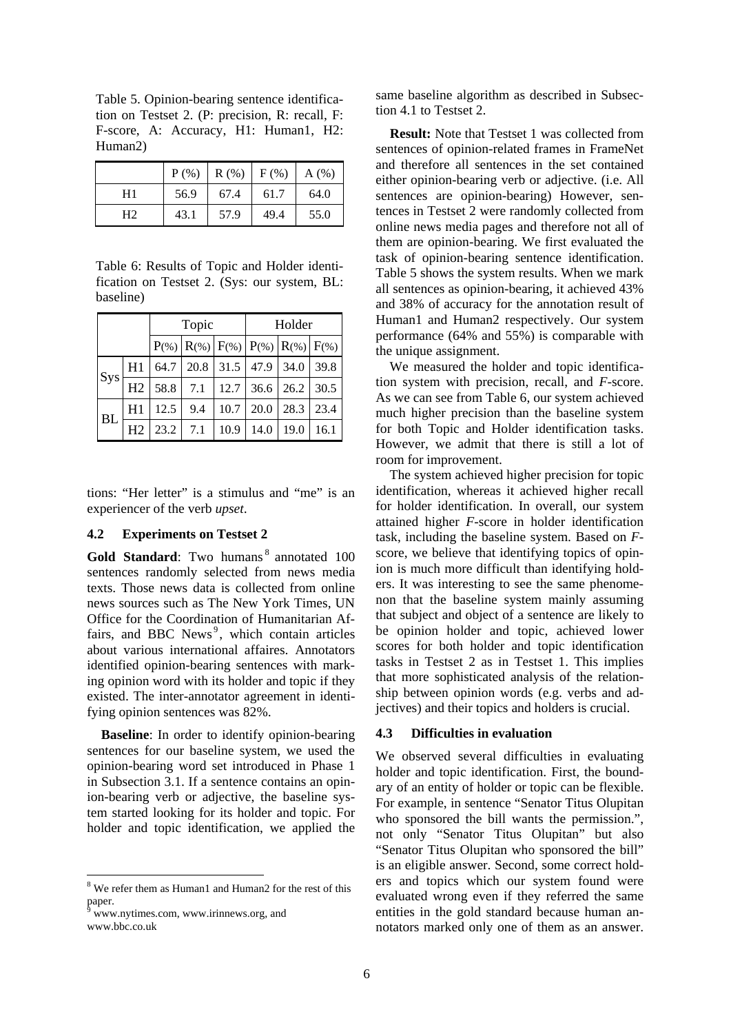Table 5. Opinion-bearing sentence identification on Testset 2. (P: precision, R: recall, F: F-score, A: Accuracy, H1: Human1, H2: Human2)

|                | $P(\% )$ | R(% ) | $F$ (%) | A(%) |
|----------------|----------|-------|---------|------|
| H1             | 56.9     | 67.4  | 61.7    | 64.0 |
| H <sub>2</sub> | 43.1     | 57.9  | 49.4    | 55.0 |

Table 6: Results of Topic and Holder identification on Testset 2. (Sys: our system, BL: baseline)

|           |                | Topic |                                            |      | Holder |      |      |  |
|-----------|----------------|-------|--------------------------------------------|------|--------|------|------|--|
|           |                |       | $P(*)  R(*)  F(*)  P(*)  R(*)  R(*)  F(*)$ |      |        |      |      |  |
| Sys       | H1             | 64.7  | 20.8                                       | 31.5 | 47.9   | 34.0 | 39.8 |  |
|           | H <sub>2</sub> | 58.8  | 7.1                                        | 12.7 | 36.6   | 26.2 | 30.5 |  |
| <b>BL</b> | H1             | 12.5  | 9.4                                        | 10.7 | 20.0   | 28.3 | 23.4 |  |
|           | H <sub>2</sub> | 23.2  | 7.1                                        | 10.9 | 14.0   | 19.0 | 16.1 |  |

tions: "Her letter" is a stimulus and "me" is an experiencer of the verb *upset*.

#### **4.2 Experiments on Testset 2**

**Gold Standard:** Two humans<sup>8</sup> annotated 100 sentences randomly selected from news media texts. Those news data is collected from online news sources such as The New York Times, UN Office for the Coordination of Humanitarian Affairs, and BBC News<sup>9</sup>, which contain articles about various international affaires. Annotators identified opinion-bearing sentences with marking opinion word with its holder and topic if they existed. The inter-annotator agreement in identifying opinion sentences was 82%.

**Baseline**: In order to identify opinion-bearing sentences for our baseline system, we used the opinion-bearing word set introduced in Phase 1 in Subsection 3.1. If a sentence contains an opinion-bearing verb or adjective, the baseline system started looking for its holder and topic. For holder and topic identification, we applied the

same baseline algorithm as described in Subsection 4.1 to Testset 2.

**Result:** Note that Testset 1 was collected from sentences of opinion-related frames in FrameNet and therefore all sentences in the set contained either opinion-bearing verb or adjective. (i.e. All sentences are opinion-bearing) However, sentences in Testset 2 were randomly collected from online news media pages and therefore not all of them are opinion-bearing. We first evaluated the task of opinion-bearing sentence identification. Table 5 shows the system results. When we mark all sentences as opinion-bearing, it achieved 43% and 38% of accuracy for the annotation result of Human1 and Human2 respectively. Our system performance (64% and 55%) is comparable with the unique assignment.

We measured the holder and topic identification system with precision, recall, and *F*-score. As we can see from Table 6, our system achieved much higher precision than the baseline system for both Topic and Holder identification tasks. However, we admit that there is still a lot of room for improvement.

The system achieved higher precision for topic identification, whereas it achieved higher recall for holder identification. In overall, our system attained higher *F*-score in holder identification task, including the baseline system. Based on *F*score, we believe that identifying topics of opinion is much more difficult than identifying holders. It was interesting to see the same phenomenon that the baseline system mainly assuming that subject and object of a sentence are likely to be opinion holder and topic, achieved lower scores for both holder and topic identification tasks in Testset 2 as in Testset 1. This implies that more sophisticated analysis of the relationship between opinion words (e.g. verbs and adjectives) and their topics and holders is crucial.

#### **4.3 Difficulties in evaluation**

We observed several difficulties in evaluating holder and topic identification. First, the boundary of an entity of holder or topic can be flexible. For example, in sentence "Senator Titus Olupitan who sponsored the bill wants the permission.", not only "Senator Titus Olupitan" but also "Senator Titus Olupitan who sponsored the bill" is an eligible answer. Second, some correct holders and topics which our system found were evaluated wrong even if they referred the same entities in the gold standard because human annotators marked only one of them as an answer.

<sup>&</sup>lt;sup>8</sup> We refer them as Human1 and Human2 for the rest of this paper.

www.nytimes.com, www.irinnews.org, and www.bbc.co.uk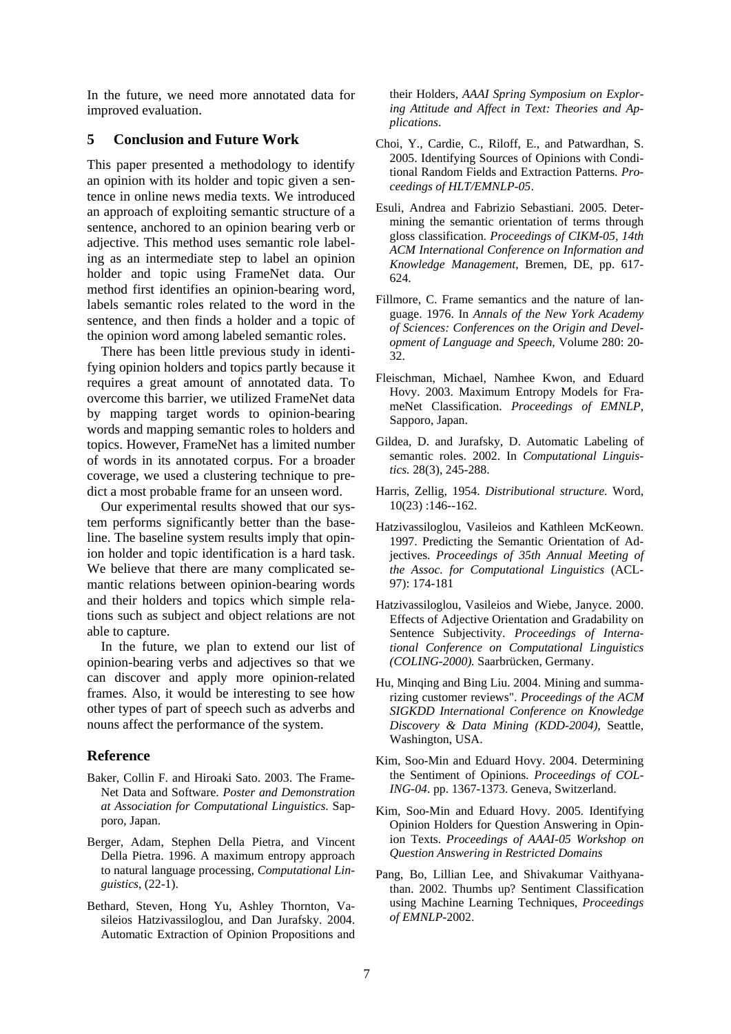In the future, we need more annotated data for improved evaluation.

#### **5 Conclusion and Future Work**

This paper presented a methodology to identify an opinion with its holder and topic given a sentence in online news media texts. We introduced an approach of exploiting semantic structure of a sentence, anchored to an opinion bearing verb or adjective. This method uses semantic role labeling as an intermediate step to label an opinion holder and topic using FrameNet data. Our method first identifies an opinion-bearing word, labels semantic roles related to the word in the sentence, and then finds a holder and a topic of the opinion word among labeled semantic roles.

There has been little previous study in identifying opinion holders and topics partly because it requires a great amount of annotated data. To overcome this barrier, we utilized FrameNet data by mapping target words to opinion-bearing words and mapping semantic roles to holders and topics. However, FrameNet has a limited number of words in its annotated corpus. For a broader coverage, we used a clustering technique to predict a most probable frame for an unseen word.

Our experimental results showed that our system performs significantly better than the baseline. The baseline system results imply that opinion holder and topic identification is a hard task. We believe that there are many complicated semantic relations between opinion-bearing words and their holders and topics which simple relations such as subject and object relations are not able to capture.

In the future, we plan to extend our list of opinion-bearing verbs and adjectives so that we can discover and apply more opinion-related frames. Also, it would be interesting to see how other types of part of speech such as adverbs and nouns affect the performance of the system.

#### **Reference**

- Baker, Collin F. and Hiroaki Sato. 2003. The Frame-Net Data and Software. *Poster and Demonstration at Association for Computational Linguistics*. Sapporo, Japan.
- Berger, Adam, Stephen Della Pietra, and Vincent Della Pietra. 1996. A maximum entropy approach to natural language processing, *Computational Linguistics*, (22-1).
- Bethard, Steven, Hong Yu, Ashley Thornton, Vasileios Hatzivassiloglou, and Dan Jurafsky. 2004. Automatic Extraction of Opinion Propositions and

their Holders, *AAAI Spring Symposium on Exploring Attitude and Affect in Text: Theories and Applications*.

- Choi, Y., Cardie, C., Riloff, E., and Patwardhan, S. 2005. Identifying Sources of Opinions with Conditional Random Fields and Extraction Patterns. *Proceedings of HLT/EMNLP-05*.
- Esuli, Andrea and Fabrizio Sebastiani. 2005. Determining the semantic orientation of terms through gloss classification. *Proceedings of CIKM-05, 14th ACM International Conference on Information and Knowledge Management*, Bremen, DE, pp. 617- 624.
- Fillmore, C. Frame semantics and the nature of language. 1976. In *Annals of the New York Academy of Sciences: Conferences on the Origin and Development of Language and Speech*, Volume 280: 20- 32.
- Fleischman, Michael, Namhee Kwon, and Eduard Hovy. 2003. Maximum Entropy Models for FrameNet Classification. *Proceedings of EMNLP*, Sapporo, Japan.
- Gildea, D. and Jurafsky, D. Automatic Labeling of semantic roles. 2002. In *Computational Linguistics.* 28(3), 245-288.
- Harris, Zellig, 1954. *Distributional structure*. Word, 10(23) :146--162.
- Hatzivassiloglou, Vasileios and Kathleen McKeown. 1997. Predicting the Semantic Orientation of Adjectives. *Proceedings of 35th Annual Meeting of the Assoc. for Computational Linguistics* (ACL-97): 174-181
- Hatzivassiloglou, Vasileios and Wiebe, Janyce. 2000. Effects of Adjective Orientation and Gradability on Sentence Subjectivity. *Proceedings of International Conference on Computational Linguistics (COLING-2000).* Saarbrücken, Germany.
- Hu, Minqing and Bing Liu. 2004. Mining and summarizing customer reviews". *Proceedings of the ACM SIGKDD International Conference on Knowledge Discovery & Data Mining (KDD-2004)*, Seattle, Washington, USA.
- Kim, Soo-Min and Eduard Hovy. 2004. Determining the Sentiment of Opinions. *Proceedings of COL-ING-04*. pp. 1367-1373. Geneva, Switzerland.
- Kim, Soo-Min and Eduard Hovy. 2005. Identifying Opinion Holders for Question Answering in Opinion Texts. *Proceedings of AAAI-05 Workshop on Question Answering in Restricted Domains*
- Pang, Bo, Lillian Lee, and Shivakumar Vaithyanathan. 2002. Thumbs up? Sentiment Classification using Machine Learning Techniques, *Proceedings of EMNLP-*2002.